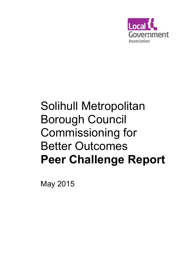

# Solihull Metropolitan Borough Council Commissioning for Better Outcomes **Peer Challenge Report**

May 2015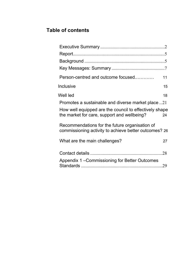## **Table of contents**

| Person-centred and outcome focused                                                                      | 11  |
|---------------------------------------------------------------------------------------------------------|-----|
| Inclusive                                                                                               | 15  |
| Well led                                                                                                | 18  |
| Promotes a sustainable and diverse market place 21                                                      |     |
| How well equipped are the council to effectively shape<br>the market for care, support and wellbeing?   | 24  |
| Recommendations for the future organisation of<br>commissioning activity to achieve better outcomes? 26 |     |
| What are the main challenges?                                                                           | 27  |
|                                                                                                         | .28 |
| Appendix 1 – Commissioning for Better Outcomes                                                          |     |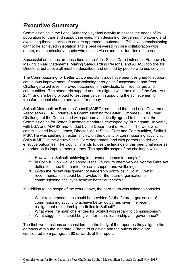# **Executive Summary**

Commissioning is the Local Authority's cyclical activity to assess the needs of its population for care and support services, then designing, delivering, monitoring and evaluating those services to ensure appropriate outcomes. Effective commissioning cannot be achieved in isolation and is best delivered in close collaboration with others, most particularly people who use services and their families and carers.

Successful outcomes are described in the Adult Social Care Outcomes Framework, Making it Real Statements, Making Safeguarding Personal and ADASS top tips for Directors, but above all must be described and defined by people who use services.

The Commissioning for Better Outcomes standards have been designed to support continuous improvement of commissioning through self-assessment and Peer Challenge to achieve improved outcomes for individuals, families, carers and communities. The standards support and are aligned with the aims of the Care Act 2014 and are being piloted to test their value in supporting the achievement of transformational change and value for money.

Solihull Metropolitan Borough Council (SMBC) requested that the Local Government Association (LGA) undertake a Commissioning for Better Outcomes (CBO) Peer Challenge at the Council and with partners and kindly agreed to help pilot the Commissioning for Better Outcomes standards developed by Birmingham University with LGA and ADASS and funded by the Department of Health. The work was commissioned by Ian James, Director, Adult Social Care and Communities, Solihull MBC. He was seeking an external view on the quality of commissioning activity at Solihull MBC in the Adults Social Care department and with partners to deliver effective outcomes. The Council intends to use the findings of this peer challenge as a marker on its improvement journey. The specific scope of the challenge was:

- 1. How well is Solihull achieving improved outcomes for people?
- 2. In Solihull, How well equipped is the Council to effectively deliver the Care Act duties to shape the market for care, support and wellbeing?
- 3. Given the recent realignment of leadership portfolios in Solihull, what recommendations could be provided for the future organisation of commissioning activity to achieve better outcomes?

In addition to the scope of the work above, the peer team was asked to consider:

- What recommendations could be provided for the future organisation of commissioning activity to achieve better outcomes given the recent realignment of leadership portfolios in Solihull?
- What were the main challenges for Solihull with regard to commissioning?
- What suggestions could be given for future leadership and governance?

The first two questions are considered in the body of the report as they align to the domains within the standard. The third question and the bullets above are considered from paragraph 60 onwards of the report.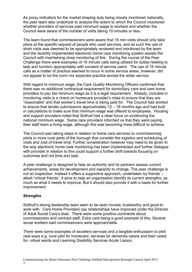As proxy indicators for the market shaping duty being closely monitored nationally, the peer team also undertook to analyse the extent to which the Council monitored whether providers of services paid minimum wage to workers and whether the Council were aware of the number of visits taking 15 minutes or less.

The team found that commissioners were aware that 15 min visits should only take place at the specific request of people who used services, and as such the use of short visits was deemed to be appropriately reviewed and monitored by the team and the recently implemented electronic home care monitoring system assists the Council with maintaining close monitoring of this. During the course of the Peer Challenge there were examples of 15 minute calls being utilised for duties relating to task and function appropriately with consent of service users. The use of 15 minute calls as a matter of practice seemed to occur in some service areas, however, did not appear to be the norm nor expected practice across the wider service.

With regard to minimum wage, the Care Quality Monitoring Officers confirmed that there was no additional contractual requirement for domiciliary care and care home providers to pay the minimum wage as it is a legal requirement. Already, included in monitoring visits is a check on homecare provider's rotas to ensure that they are "reasonable" and that worker's travel time is being paid for. The Council had worked to ensure that tender submissions approximately 12 – 18 months ago and had built in calculations to make sure that minimum wage was offered to employees. Housing and support providers noted that Solihull had a clear focus on evidencing the national minimum wage. Some care providers informed us that they were paying their staff team a living wage, although this was becoming more difficult to achieve.

The Council was taking steps in relation to home care services to commissioning pilots in more rural parts of the borough that consider the logistics and scheduling of visits and cost of travel time. Further consideration however may need to be given to the way electronic home care monitoring has been implemented and further dialogue with provider in relation to this could support a further shift towards focusing on outcomes and not time and task.

A peer challenge is designed to help an authority and its partners assess current achievements, areas for development and capacity to change. The peer challenge is not an inspection. Instead it offers a supportive approach, undertaken by friends – albeit 'critical friends'. It aims to help an organisation identify its current strengths, as much as what it needs to improve. But it should also provide it with a basis for further improvement.

#### **Strengths**

Solihull's strong leadership team seen to be open honest, trustworthy and good to work with. Care Home Providers say relationships have improved under the Director of Adult Social Care's lead. There were some positive comments about commissioners and contract staff, Extra care being a good example of this. Several social workers said commissioners were approachable.

There were some examples of excellent services and a tangible enthusiasm to pilot new ways e.g. rural pilot for homecare, services for dementia carers and their cared for, virtual wards and Learning Disability Services Acute Liaison.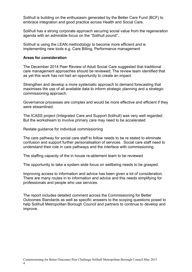Solihull is building on the enthusiasm generated by the Better Care Fund (BCF) to embrace integration and good practice across Health and Social Care.

Solihull has a strong corporate approach securing social value from the regeneration agenda with an admirable focus on the "Solihull pound"..

Solihull is using the LEAN methodology to become more efficient and is implementing new tools e.g. Care Billing, Performance management

#### **Areas for consideration**

The December 2014 Peer Review of Adult Social Care suggested that traditional care management approaches should be reviewed; The review team identified that as yet this work has not had an opportunity to create an impact.

Strengthen and develop a more systematic approach to demand forecasting that maximises the use of all available data to inform strategic planning and a strategic commissioning approach.

Governance processes are complex and would be more effective and efficient if they were streamlined.

The ICASS project (Integrated Care and Support Solihull) was very well regarded. But the workstream to involve primary care may need to be accelerated

Restate guidance for individual commissioning

The care pathway for social care staff to follow needs to be re stated to eliminate confusion and support further personalisation of services. Social care staff need to understand their role in care pathways and the interface with commissioning.

The staffing capacity of the in house re-ablement team to be reviewed

The opportunity to take a system wide focus on wellbeing needs to be grasped.

Improving access to information and advice has been given a lot of consideration. There are many routes in to information and advice and this needs simplifying for professionals and people who use services.

The report includes detailed comment across the Commissioning for Better Outcomes Standards as well as specific answers to the scoping questions posed to help Solihull Metropolitan Borough Council and partners to continue to develop and improve.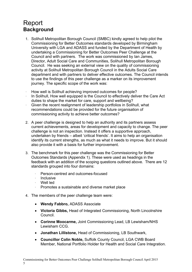# Report **Background**

- 1. Solihull Metropolitan Borough Council (SMBC) kindly agreed to help pilot the Commissioning for Better Outcomes standards developed by Birmingham University with LGA and ADASS and funded by the Department of Health by undertaking a Commissioning for Better Outcomes Peer Challenge at the Council and with partners. The work was commissioned by Ian James, Director, Adult Social Care and Communities, Solihull Metropolitan Borough Council. He was seeking an external view on the quality of commissioning activity at Solihull Metropolitan Borough Council in the Adults Social Care department and with partners to deliver effective outcomes. The Council intends to use the findings of this peer challenge as a marker on its improvement journey. The specific scope of the work was:
- · How well is Solihull achieving improved outcomes for people?
- In Solihull, How well equipped is the Council to effectively deliver the Care Act duties to shape the market for care, support and wellbeing?
- · Given the recent realignment of leadership portfolios in Solihull, what recommendations could be provided for the future organisation of commissioning activity to achieve better outcomes?
- 2. A peer challenge is designed to help an authority and its partners assess current achievements, areas for development and capacity to change. The peer challenge is not an inspection. Instead it offers a supportive approach, undertaken by friends – albeit 'critical friends'. It aims to help an organisation identify its current strengths, as much as what it needs to improve. But it should also provide it with a basis for further improvement.
- 3. The benchmark for this peer challenge was the Commissioning for Better Outcomes Standards (Appendix 1). These were used as headings in the feedback with an addition of the scoping questions outlined above. There are 12 standards grouped into four domains:
	- Person-centred and outcomes-focused
	- **Inclusive**
	- · Well led
	- Promotes a sustainable and diverse market place
- 4. The members of the peer challenge team were:
	- **Wendy Fabbro,** ADASS Associate
	- **Victoria Gibbs,** Head of Integrated Commissioning, North Lincolnshire Council.
	- **Corinne Moocarme,** Joint Commissioning Lead, LB Lewisham/NHS Lewisham CCG.
	- **Jonathan Lillistone,** Head of Commissioning, LB Southwark,
	- **Councillor Colin Noble,** Suffolk County Council, LGA CWB Board Member, National Portfolio Holder for Health and Social Care Integration.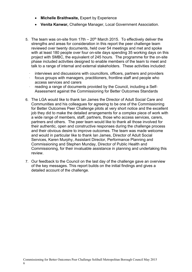- **Michelle Braithwaite,** Expert by Experience
- **Venita Kanwar,** Challenge Manager, Local Government Association.
- 5. The team was on-site from 17th  $-20<sup>th</sup>$  March 2015. To effectively deliver the strengths and areas for consideration in this report the peer challenge team reviewed over twenty documents, held over 54 meetings and met and spoke with at least 180 people over four on-site days spending 35 working days on this project with SMBC, the equivalent of 245 hours. The programme for the on-site phase included activities designed to enable members of the team to meet and talk to a range of internal and external stakeholders. These activities included:
	- $\cdot$  interviews and discussions with councillors, officers, partners and providers
	- · focus groups with managers, practitioners, frontline staff and people who access services and carers
	- · reading a range of documents provided by the Council, including a Self-Assessment against the Commissioning for Better Outcomes Standards
- 6. The LGA would like to thank Ian James the Director of Adult Social Care and Communities and his colleagues for agreeing to be one of the Commissioning for Better Outcomes Peer Challenge pilots at very short notice and the excellent job they did to make the detailed arrangements for a complex piece of work with a wide range of members, staff, partners, those who access services, carers, partners and others. The peer team would like to thank all those involved for their authentic, open and constructive responses during the challenge process and their obvious desire to improve outcomes. The team was made welcome and would in particular like to thank Ian James, Director of Adult Social Services, Karen Murphy, Assistant Director, Performance Planning and Commissioning and Stephen Munday, Director of Public Health and Commissioning, for their invaluable assistance in planning and undertaking this review.
- 7. Our feedback to the Council on the last day of the challenge gave an overview of the key messages. This report builds on the initial findings and gives a detailed account of the challenge.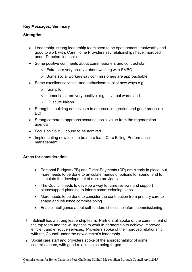## **Key Messages: Summary**

#### **Strengths**

- Leadership- strong leadership team seen to be open honest, trustworthy and good to work with. Care Home Providers say relationships have improved under Directors leadship
- Some positive comments about commissioners and contract staff
	- $\circ$  Extra care very positive about working with SMBC
	- o Some social workers say commissioners are approachable
- Some excellent services- and enthusiasm to pilot new ways e.g.
	- o rural pilot
	- o dementia carers very positive, e.g. in virtual wards and
	- o LD acute liaison
- Strength in building enthusiasm to embrace integration and good practice in BCF.
- Strong corporate approach securing social value from the regeneration agenda
- Focus on Solihull pound to be admired.
- Implementing new tools to be more lean, Care Billing, Performance management

#### **Areas for consideration**

- Personal Budgets (PB) and Direct Payments (DP) are clearly in place, but more needs to be done to articulate menus of options for spend, and to stimulate the development of micro providers.
- The Council needs to develop a way for care reviews and support plans/support planning to inform commissioning plans.
- More needs to be done to consider the contribution from primary care to shape and influence commissioning.
- Enable intelligence about self-funders choices to inform commissioning.
- 8. Solihull has a strong leadership team. Partners all spoke of the commitment of the top team and the willingness to work in partnership to achieve improved, efficient and effective services. Providers spoke of the improved relationship with the Council under the new director's leadership.
- 9. Social care staff and providers spoke of the approachability of some commissioners, with good relationships being forged.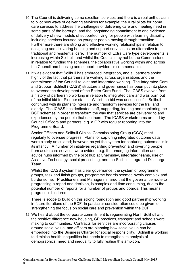- 10. The Council is delivering some excellent services and there is a real enthusiasm to pilot new ways of delivering services for example; the rural pilots for home care services to address the challenges of delivering care and meeting need in some parts of the borough, and the longstanding commitment to and evidence of delivery of new models of supported living for people with learning disability including services focused on younger people moving through transition. Furthermore there are strong and effective working relationships in relation to designing and delivering housing and support services as an alternative to traditional and residential care. The number of Extra Care type developments is increasing within Solihull, and whilst the Council may not be the Commissioner in relation to funding the schemes, the collaborative working within and across the Council and housing and support providers is commendable.
- 11. It was evident that Solihull has embraced integration, and all partners spoke highly of the fact that partners are working across organisations and the commitment of the Council to joint and integrated working. The Integrated Care and Support Solihull (ICASS) structure and governance has been put into place to oversee the development of the Better Care Fund. The ICASS evolved from a history of partnership working in relation to integrated care and was born out of the initial bid for Pioneer status. Whilst the bid was unsuccessful, Solihull continued with its plans to integrate and transform services for the frail and elderly. The ICASS has dedicated staff, supporting, leading and monitoring the BCF schemes in order to transform the way that services are delivered to and experienced by the people that use them. The ICASS workstreams are led by Council Officers and partners, e.g. a GP with regular reporting into the Programme Board.

Senior Officers and Solihull Clinical Commissioning Group (CCG) meet regularly to oversee progress. Plans for capturing integrated outcome data were clearly articulated; however, as yet the system for capturing outcomes is in its infancy. A number of initiatives regarding prevention and diverting people from acute care services were evident, e.g. the emerging information and advice hubs informed by the pilot hub at Chelmsley, integrated teams, use of Assistive Technology, social prescribing, and the Solihull Integrated Discharge Team.

Whilst the ICASS system has clear governance, the system of programme groups, task and finish groups, programme boards seemed overly complex and burdensome. Practitioners and Managers shared that the governance route to progressing a report and decision, is complex and time consuming, due to the potential number of reports for a number of groups and boards. This means progress is hindered

There is scope to build on this strong foundation and good partnership working in future iterations of the BCF. In particular consideration could be given to strengthening the focus on social care and prevention within the BCF.

12. We heard about the corporate commitment to regenerating North Solihull and the positive difference new housing, GP practices, transport and schools were making to communities. Contracts for services are incorporating clauses around social value, and officers are planning how social value can be embedded into the Business Charter for social responsibility. Solihull is working to diminish health inequalities but needs to strengthen its analysis of demographics, need and inequality to fully realise this ambition.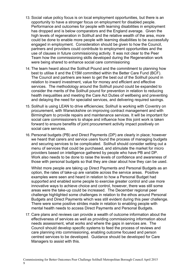- 13. Social value policy focus is on local employment opportunities, but there is an opportunity to have a stronger focus on employment for disabled people. Performance and outcomes for people with learning disabilities in employment has dropped and is below comparators and the England average. Given the high levels of regeneration in Solihull and the relative wealth of the area, more could be done to enable more people with learning disabilities to be successfully engaged in employment. Consideration should be given to how the Council, partners and providers could contribute to employment opportunities and the use of clauses in future commissioning activity. It was not clear to the Peer Team how the commissioning skills developed during the Regeneration work were being shared to enhance social care commissioning
- 14. The team heard about the Solihull Pound and the commitment to planning how best to utilise it and the £15M committed within the Better Care Fund (BCF). The Council and partners are keen to get the best out of the Solihull pound in relation to inward investment, value for money and efficient and effective services. The methodology around the Solihull pound could be expanded to consider the merits of the Solihull pound for prevention in relation to reducing health inequalities and meeting the Care Act Duties of wellbeing and preventing and delaying the need for specialist services, and delivering required savings.
- 15. Solihull is using LEAN to drive efficiencies; Solihull is working with Coventry on procurement, with Warwickshire on improving contract management and with Birmingham to provide repairs and maintenance services. It will be important for social care commissioners to shape and influence how this joint work is taken forward to ensure benefits of joint procurement activity impact positively on social care services.
- 16. Personal budgets (PB) and Direct Payments (DP) are clearly in place; however we heard that carers and service users found the process of managing budgets and securing services to be complicated. Solihull should consider setting out a menu of services that could be purchased, and stimulate the market for micro providers based on intelligence gathered by people who have PB and DP. Work also needs to be done to raise the levels of confidence and awareness of those with personal budgets so that they are clear about how they can be used.

Whilst more people are taking up Direct Payments and Personal Budgets as an option, the rates of take-up are variable across the service areas. Positive examples were seen and heard in relation to how a Personal Budget had supported and enabled some people to exercise greater control and use more innovative ways to achieve choice and control, however, there was still some areas were the take-up could be increased. The December regional peer challenge highlighted some challenges in relation to the ethos around Personal Budgets and Direct Payments which was still evident during this peer challenge. There were some positive strides made in relation to enabling people with mental health needs to access Direct Payments and Personal Budgets.

17. Care plans and reviews can provide a wealth of outcome information about the effectiveness of services as well as providing commissioning information about needs assessment, what works and where the gaps in services are. The Council should develop specific systems to feed the process of reviews and care planning into commissioning, enabling outcome focused and person centred services to be developed. Guidance should be developed for Care Managers to assist with this.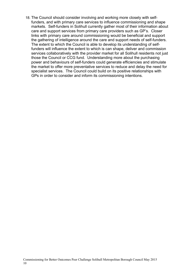18. The Council should consider involving and working more closely with selffunders, and with primary care services to influence commissioning and shape markets. Self-funders in Solihull currently gather most of their information about care and support services from primary care providers such as GP's. Closer links with primary care around commissioning would be beneficial and support the gathering of intelligence around the care and support needs of self-funders. The extent to which the Council is able to develop its understanding of selffunders will influence the extent to which is can shape, deliver and commission services collaboratively with the provider market for all Solihull residents not just those the Council or CCG fund. Understanding more about the purchasing power and behaviours of self-funders could generate efficiencies and stimulate the market to offer more preventative services to reduce and delay the need for specialist services. The Council could build on its positive relationships with GPs in order to consider and inform its commissioning intentions.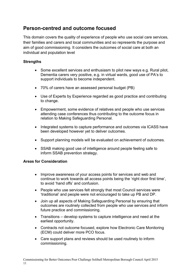## **Person-centred and outcome focused**

This domain covers the quality of experience of people who use social care services, their families and carers and local communities and so represents the purpose and aim of good commissioning. It considers the outcomes of social care at both an individual and population level

### **Strengths**

- Some excellent services and enthusiasm to pilot new ways e.g. Rural pilot, Dementia carers very positive, e.g. in virtual wards, good use of PA's to support individuals to become independent.
- 70% of carers have an assessed personal budget (PB)
- Use of Experts by Experience regarded as good practice and contributing to change.
- Empowerment, some evidence of relatives and people who use services attending case conferences thus contributing to the outcome focus in relation to Making Safeguarding Personal.
- Integrated systems to capture performance and outcomes via ICASS have been developed however yet to deliver outcomes.
- Support planning models will be evaluated on achievement of outcomes.
- SSAB making good use of intelligence around people feeling safe to inform SSAB prevention strategy.

#### **Areas for Consideration**

- Improve awareness of your access points for services and web and continue to work towards all access points being the 'right door first time', to avoid 'hand offs' and confusion.
- People who use services felt strongly that most Council services were 'traditional' and people were not encouraged to take up PB and DP.
- Join up all aspects of Making Safeguarding Personal by ensuring that outcomes are routinely collected from people who use services and inform future practice and commissioning.
- Transitions develop systems to capture intelligence and need at the earliest opportunity.
- Contracts not outcome focused, explore how Electronic Care Monitoring (ECM) could deliver more PCO focus.
- Care support plans and reviews should be used routinely to inform commissioning.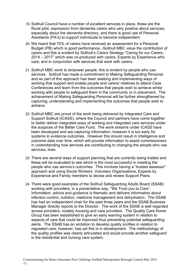- 19. Solihull Council have a number of excellent services in place, these are the Rural pilot, expression from dementia carers who very positive about services, especially about the dementia directory, and there is good use of Personal Assistants (PA's) to support individuals to become independent.
- 20. We heard that 70% of carers have received an assessment for a Personal Budget (PB) which is good performance. - Solihull MBC value the contribution of carers and this is evident by Solihull's Carers Strategy "Caring for our Carers, 2014 – 2017" which was co-produced with carers, Experts by Experience who care, and in conjunction with services that work with carers.
- 21. Solihull MBC work to empower people, this is evident by people who use services. Solihull has made a commitment to Making Safeguarding Personal and as part of this approach has been seeking and implementing ways of working that support and enable people and carers/ relatives to attend Case Conferences and learn from the outcomes that people wish to achieve whilst working with people to safeguard them in the community or in placement. The achievement of Making Safeguarding Personal will be further strengthened by capturing, understanding and implementing the outcomes that people wish to achieve.
- 22. Solihull MBC are proud of the work being delivered by Integrated Care and Support Solihull (ICASS), where the Council and partners have come together to better deliver integrated ways of working and integrated care services under the auspices of the Better Care Fund. The work streams under ICASS have been developed and are capturing information; however it is too early for systems to evidence outcomes. However this should result in intelligence and outcome data over time, which will provide information to assist commissioners in understanding how services are contributing to changing the people who use services, lives.
- 23. There are several ways of support planning that are currently being trialled and these will be evaluated to see which is the most successful in meeting the people who use service's outcomes. This involves having a "trusted assessor" approach and using Social Workers, Voluntary Organisations, Experts by Experience and Family members to devise and review Support Plans.
- 24. There were good examples of the Solihull Safeguarding Adults Board (SSAB) working with providers, in a preventative way, "We Trust you to Care". Information, advice and guidance is thematic and delivers information about infection control, nutrition, medicine management and dehydration. The SSAB has had an independent chair for the past three years and the SSAB Business Manager directly reports to the Director. The work of the SSAB is well regarded across providers, notably housing and care providers. The Quality Care Home Group has been established to give an early warning system in relation to aspects of care that could be improved thus preventing potential safeguarding alerts. The SSAB has an ambition to develop quality profiles in relation to regulated care, however, has yet this is in development. The methodology of the quality profiles was clearly articulated and would provide another safeguard in the residential and nursing care system.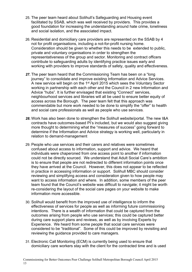- 25. The peer team heard about Solihull's Safeguarding and Housing event facilitated by SSAB, which was well received by providers. This provides a good foundation for increasing the understanding around hate crime, loneliness and social isolation, and the associated impact.
- 26. Residential and domiciliary care providers are represented on the SSAB by 4 not for profit organisations, including a not-for-profit nursing home. Consideration should be given to whether this needs to be extended to public, private and voluntary organisations in order to strengthen the representativeness of the group and sector. Monitoring and contract officers contribute to safeguarding adults by identifying practice issues early and working with providers to improve standards of safety, quality and effectiveness.
- *27.* The peer team heard that the Commissioning Team has been on a "long journey" to consolidate and improve existing Information and Advice Services. A new service will begin on the 1<sup>st</sup> April 2015 which sees the Voluntary Sector working in partnership with each other and the Council in 2 new Information and Advice "hubs". It is further envisaged that existing "Connect" services, neighbourhood services and libraries will all be used to ensure better equity of access across the Borough. The peer team felt that this approach was commendable but more work needed to be done to simplify the "offer" to health and social care professionals as well as people who use services.
- *28.* Work has also been done to strengthen the Solihull website/portal. The new I&A contracts have outcomes-based PI's included, but we would also suggest giving more thought to determining what the "measures of success" going forward to determine if the Information and Advice strategy is working well, particularly in relation to demand-management
- 29. People who use services and their carers and relatives were sometimes confused about access to information, support and advice. We heard that individuals were chaperoned from one access point to another if information could not be directly sourced. We understand that Adult Social Care's ambition is to ensure that people are not redirected to different information points once they have arrived at the Council. However, this does not appear to be reflected in practice in accessing information or support. Solihull MBC should consider reviewing and simplifying access and consideration given to how people may want to access information and where. In addition, some members of the peer team found that the Council's website was difficult to navigate; it might be worth re-considering the layout of the social care pages on your website to make information more accessible.
- 30. Solihull would benefit from the improved use of intelligence to inform the effectiveness of services for people as well as informing future commissioning intentions. There is a wealth of information that could be captured from the outcomes arising from people who use services; this could be captured better during care support plans and reviews, as well as by involving Experts by Experience. We heard from some people that social care services were considered to be "traditional". Some of this could be improved by revisiting and reviewing the guidance provided to care managers.
- 31. Electronic Call Monitoring (ECM) is currently being used to ensure that domiciliary care workers stay with the client for the contracted time and is used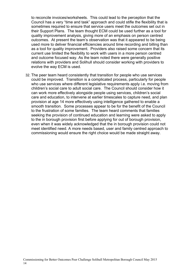to reconcile invoices/worksheets. This could lead to the perception that the Council has a very "time and task" approach and could stifle the flexibility that is sometimes required to ensure that service users meet the outcomes set out in their Support Plans. The team thought ECM could be used further as a tool for quality improvement analysis, giving more of an emphasis on person centred outcomes. At present the team's observation was that it appeared to be being used more to deliver financial efficiencies around time recording and billing than as a tool for quality improvement. Providers also raised some concern that its current use limited the flexibility to work with users in a more person centred and outcome focused way. As the team noted there were generally positive relations with providers and Solihull should consider working with providers to evolve the way ECM is used.

32. The peer team heard consistently that transition for people who use services could be improved. Transition is a complicated process, particularly for people who use services where different legislative requirements apply i.e. moving from children's social care to adult social care. The Council should consider how it can work more effectively alongside people using services, children's social care and education, to intervene at earlier timescales to capture need, and plan provision at age 14 more effectively using intelligence gathered to enable a smooth transition. Some processes appear to be for the benefit of the Council to the frustration of some families. The team heard comments that families seeking the provision of continued education and learning were asked to apply to the in borough provision first before applying for out of borough provision, even when it was widely acknowledged that the in borough provision could not meet identified need. A more needs based, user and family centred approach to commissioning would ensure the right choice would be made straight away.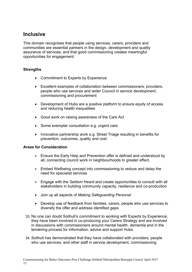## **Inclusive**

This domain recognises that people using services, carers, providers and communities are essential partners in the design, development and quality assurance of services; and that good commissioning creates meaningful opportunities for engagement.

## **Strengths**

- Commitment to Experts by Experience
- Excellent examples of collaboration between commissioners, providers, people who use services and wider Council in service development, commissioning and procurement
- Development of Hubs are a positive platform to ensure equity of access and reducing health inequalities
- Good work on raising awareness of the Care Act
- Some exemplar consultation e.g. urgent care
- Innovative partnership work e.g. Street Triage resulting in benefits for prevention, outcomes, quality and cost

#### **Areas for Consideration**

- Ensure the Early Help and Prevention offer is defined and understood by all, connecting council work in neighbourhoods to greater effect.
- Embed Wellbeing concept into commissioning to reduce and delay the need for specialist services
- Engage with the *Seldom Heard* and create opportunities to consult with all stakeholders in building community capacity, resilience and co-production
- Join up all aspects of *Making Safeguarding Personal*
- Develop use of feedback from families, carers, people who use services to diversify the offer and address identified gaps
- 33. No one can doubt Solihull's commitment to working with Experts by Experience, they have been involved in co-producing your Carers Strategy and are involved in discussions with commissioners around mental health, dementia and in the tendering process for information, advice and support Hubs.
- 34. Solihull has demonstrated that they have collaborated with providers, people who use services, and other staff in service development, commissioning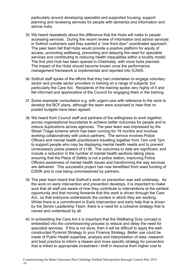particularly around developing specialist and supported housing, support planning and reviewing services for people with dementia and information and advice hubs.

- 35. We heard repeatedly about the difference that the Hubs will make to people accessing services. During the recent review of information and advice services in Solihull customers said they wanted a "one front door" coordinated approach. The peer team felt that Hubs would provide a positive platform for equity of access, promoting wellbeing, preventing and delaying the need for specialist services and contributing to reducing health inequalities within a locality model. The first pilot Hub has been opened in Chelmsley, with more hubs planned. The impact of the Hubs should become known once the performance management framework is implemented and reported into ICASS.
- 36. Solihull staff spoke of the efforts that they had undertaken to engage voluntary sector and private sector providers in training on a range of subjects, but particularly the Care Act. Recipients of the training spoke very highly of it and felt informed and appreciative of the Council for engaging them in the training.
- 37. Some exemplar consultation e.g. with urgent care with reference to the work to develop the BCF plans, although the team were surprised to hear that no pooled budgets have been agreed.
- 38. We heard from Council staff and partners of the willingness to work together, across organisational boundaries to achieve better outcomes for people and to reduce duplications across agencies. The peer team was impressed by the Street Triage scheme which has been running for 18 months and involves working collaboratively with police partners. The service involves Police Officers and mental health practitioners travelling together from 7am until 7pm to support people who may be displaying mental health needs and to prevent unnecessary police powers of s136. The outcomes to date are significant, and include a reduction in the number of mental health sections taking place, ensuring that the Place of Safety is not a police station, improving Police Officers awareness of mental health issues and transforming the way services are delivered. This successful project has now benefitted from seed funding of £250K and is now being commissioned by partners.
- 39. The peer team heard that Solihull's work on prevention was well underway. As the work on early intervention and prevention develops, it is important to make sure that all staff are aware of how they contribute to interventions at the earliest opportunity and that moving forwards that this work is driven through the Care Act., so that everyone understands the context in which they are working. Whilst there is a commitment to Early Intervention and early help that is driven by the Senior Leadership Team, there is a need for a cohesive strategy that is owned and understood by all.
- 40. In embedding the Care Act it is important that the Wellbeing Duty concept is embedded into the commissioning process to reduce and delay the need for specialist services. If this is not done, then it will be difficult to apply the wellconstructed Pyramid Strategy to your Finance Strategy. Better use could be made of Public Health expertise, analysis and interpretation of data, research and best practice to inform a clearer and more specific strategy for prevention that is linked to appropriate investment / shift in resource from higher cost to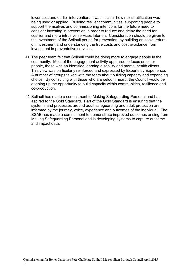lower cost and earlier intervention. It wasn't clear how risk stratification was being used or applied. Building resilient communities, supporting people to support themselves and commissioning intentions for the future need to consider investing in prevention in order to reduce and delay the need for costlier and more intrusive services later on. Consideration should be given to the investment of the Solihull pound for prevention, by building on social return on investment and understanding the true costs and cost avoidance from investment in preventative services.

- 41. The peer team felt that Solihull could be doing more to engage people in the community. Most of the engagement activity appeared to focus on older people, those with an identified learning disability and mental health clients. This view was particularly reinforced and expressed by Experts by Experience. A number of groups talked with the team about building capacity and expanding choice. By consulting with those who are seldom heard, the Council would be opening up the opportunity to build capacity within communities, resilience and co-production.
- 42. Solihull has made a commitment to Making Safeguarding Personal and has aspired to the Gold Standard. Part of the Gold Standard is ensuring that the systems and processes around adult safeguarding and adult protection are informed by the journey, voice, experience and outcomes of the individual. The SSAB has made a commitment to demonstrate improved outcomes arising from Making Safeguarding Personal and is developing systems to capture outcome and impact data.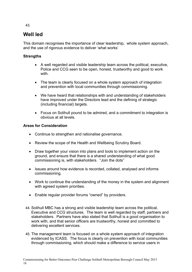## **Well led**

This domain recognises the importance of clear leadership, whole system approach, and the use of rigorous evidence to deliver 'what works'

## **Strengths**

- A well regarded and visible leadership team across the political, executive, Police and CCG seen to be open, honest, trustworthy and good to work with.
- The team is clearly focused on a whole system approach of integration and prevention with local communities through commissioning.
- We have heard that relationships with and understanding of stakeholders have improved under the Directors lead and the defining of strategic (including financial) targets.
- Focus on Solihull pound to be admired, and a commitment to integration is obvious at all levels.

## **Areas for Consideration**

18

- Continue to strengthen and rationalise governance.
- Review the scope of the Health and Wellbeing Scrutiny Board.
- Draw together your vision into plans and tools to implement action on the ground, and ensure that there is a shared understanding of what good commissioning is, with stakeholders. "Join the dots"
- Issues around how evidence is recorded, collated, analysed and informs commissioning.
- Work to continue the understanding of the money in the system and alignment with agreed system priorities.
- Enable regular provider forums "owned" by providers.
- 44. Solihull MBC has a strong and visible leadership team across the political, Executive and CCG structures. The team is well regarded by staff, partners and stakeholders. Partners have also stated that Solihull is a good organisation to work with, and that senior officers are trustworthy, honest and committed to delivering excellent services.
- 45. The management team is focused on a whole system approach of integration evidenced by ICASS. The focus is clearly on prevention with local communities through commissioning, which should make a difference to service users in

43.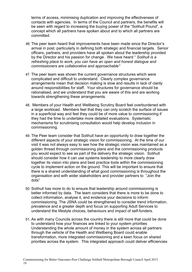terms of access, minimising duplication and improving the effectiveness of contacts with agencies. In terms of the Council and partners, the benefits will be seen with regard to increasing the buying power of the "Solihull Pound", a concept which all partners have spoken about and to which all partners are committed.

- *46.* The peer team heard that improvements have been made since the Director's arrival in post, particularly in defining both strategic and financial targets. Senior officers, partners, and providers have all spoken about the leadership provided by the Director and his passion for change. We have heard " *Solihull is a refreshing place to work, you can have an open and honest dialogue and commissioners are collaborative and approachable"*
- 47. The peer team was shown the current governance structures which were complicated and difficult to understand. Clearly complex governance arrangements mean that decision making is slow and results in lack of clarity around responsibilities for staff. Your structures for governance should be rationalised, and we understand that you are aware of this and are working towards strengthening these arrangements.
- 48. Members of your Health and Wellbeing Scrutiny Board feel overburdened with a large workload. Members feel that they can only scratch the surface of issues in a superficial way and feel they could be of more value to commissioning if they had the time to undertake more detailed evaluations. Systematic mechanisms for scrutinising consultation would help develop inclusion in commissioning.
- 49. The Peer team consider that Solihull have an opportunity to draw together the different aspects of your strategic vision for commissioning. At the time of our visit it was not always easy to see how the strategic vision was maintained as a golden thread through commissioning plans and the commissioning products you would expect to see as part of the delivery the strategic vision. Solihull should consider how it can use systems leadership to more clearly draw together its vision into plans and best practice tools within the commissioning cycle to implement action on the ground. This will be important to ensure that there is a shared understanding of what good commissioning is throughout the organisation and with wider stakeholders and provider partners to "Join the dots"
- 50. Solihull has more to do to ensure that leadership around commissioning is better informed by data. The team considers that there is more to be done to collect information, analyse it, and evidence your decisions to inform commissioning. The JSNA could be strengthened to consider trend information, prevalence and a greater depth and focus on supporting Adult Services to understand the lifestyle choices, behaviours and impact of self-funders.
- 51. As with many Councils across the country there is still more that could be done to understand how your finances are linked to your system priorities Understanding the whole amount of money in the system across all partners through the vehicle of the Health and Wellbeing Board could enable transformation, more integrated commissioning and a keen focus on shared priorities across the system. This integrated approach could deliver efficiencies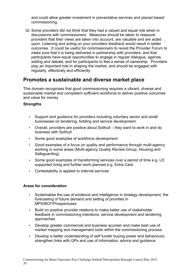and could allow greater investment in preventative services and placed based commissioning.

52. Some providers did not think that they had a valued and equal role when in discussions with commissioners. Measures should be taken to reassure providers that their views are taken into account, are valuable and are acted upon. Listening and acting on your providers feedback would result in better outcomes. It could be useful for commissioners to revisit the Provider Forum to make sure that it is being delivered in partnership with providers, and that participants have equal opportunities to engage in regular dialogue, agenda setting and debate, and for participants to feel a sense of ownership. Providers play an important role in shaping the market, and should be engaged with regularly, effectively and efficiently

## **Promotes a sustainable and diverse market place**

This domain recognises that good commissioning requires a vibrant, diverse and sustainable market and competent sufficient workforce to deliver positive outcomes and value for money

#### **Strengths**

- Support and guidance for providers including voluntary sector and small businesses on tendering, bidding and service development
- Overall, providers are positive about Solihull they want to work in and do business with Solihull
- Some good examples of workforce development
- Good examples of a focus on quality and performance through multi-agency working in some areas (Multi-agency Quality Review Group, Housing and Safeguarding)
- Some good examples of transforming services over a period of time e.g. LD supported living and further work planned e.g. Extra Care
- Contestability is applied to internal services

## **Areas for consideration**

- Systematise the use of evidence and intelligence in strategy development, the forecasting of future demand and setting of priorities in MPS/BCF/Prospectuses
- Build on positive provider relations to make better use of stakeholder feedback in commissioning intentions, service development and tendering approaches
- Develop greater commercial and business acumen and make best use of market mapping and management tools within the commissioning process
- Develop a better understanding of self funder buying power and behaviours; strengthen links with GPs and use of information, advice and guidance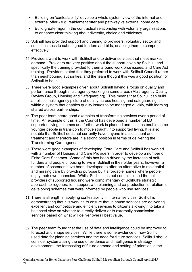- Building on 'contestability' develop a whole system view of the internal and external offer - e.g. reablement offer and pathway vs external home care
- Build greater rigor in the contractual relationship with voluntary organisations to enhance clear thinking about diversity, choice and efficiency
- 53. Solihull has provided support and training to providers, voluntary sector and small business to submit good tenders and bids, enabling them to compete effectively.
- 54. Providers want to work with Solihull and to deliver services that meet market demand. Providers are very positive about the support given by Solihull, and specifically the training provided to them around workforce issues, and Care Act training. Providers stated that they preferred to work with Solihull Council rather than neighbouring authorities, and the team thought this was a good position for Solihull to be in.
- 55. There were good examples given about Solihull having a focus on quality and performance through multi-agency working in some areas (Multi-agency Quality Review Group, Housing and Safeguarding). This means that Solihull can build a holistic multi agency picture of quality across housing and safeguarding, , within a system that enables quality issues to be managed quickly, with learning shared across partnerships.
- 56. The peer team heard good examples of transforming services over a period of time. An example of this is the Council has developed a number of LD supported living schemes and further work is planned and this has enable some younger people in transition to move straight into supported living. It is also notable that Solihull does not currently have anyone in assessment and treatment and therefore are in a strong position in terms of delivering the Transforming Care agenda.
- 57. There were good examples of developing Extra Care and Solihull has worked with a number of Housing and Care Providers in order to develop a number of Extra Care Schemes. Some of this has been driven by the increase of selffunders and people choosing to live in Solihull in their older years, however, a number of schemes have been developed to offer an alternative to residential and nursing care by providing purpose built affordable homes where people enjoy their own tenancies. Whilst Solihull has not commissioned the builds, providers of supported housing were complimentary of Solihull's strategic approach to regeneration, support with planning and co-production in relation to developing schemes that were informed by people who use services.
- **58.** There is strength in applying contestability in internal services, Solihull is demonstrating that it is working to ensure that in house services are delivering excellent and competitive and efficient services to citizens allowing it to take a balanced view on whether to directly deliver or to externally commission services based on what will deliver overall best value.
- 59. The peer team found that the use of data and intelligence could be improved to forecast and shape services. While there is some evidence of how Solihull used data for planning services and the need for future services, Solihull should consider systematising the use of evidence and intelligence in strategy development, the forecasting of future demand and setting of priorities in the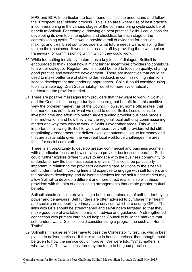MPS and BCF. In particular the team found it difficult to understand and follow the "Prospectuses" bidding process. This is an area where use of best practice in commissioning in the various stages of the commissioning cycle could be of benefit to Solihull. For example, drawing on best practice Solihull could consider developing its own tools, templates and checklists for each stage of the commissioning cycle. This would provide a trail of evidence for decision making, and clearly set out to providers what future needs were, enabling them to plan their business. It would also assist staff by providing them with a clear framework for commissioning within which they could work.

- 60. While fee-setting inevitably featured as a key topic of dialogue, Solihull is encouraged to think about how it might further incentivise providers to contribute to a wider dialogue. Regular forums should be held to focus on quality, sharing good practice and workforce development. There are incentives that could be used to make better use of stakeholder feedback in commissioning intentions, service development and tendering approaches. Solihull could consider using tools available e.g. Draft Sustainability Toolkit to more systematically understand the provider market.
- 61. There are positive messages from providers that they want to work in Solihull and the Council has the opportunity to secure great benefit from this positive view the provider market has of the Council. However, some officers feel that the market has not driven 'what we need to do' so Solihull could consider investing time and effort into better understanding provider business models, their motivations and how they view the regional local authority commissioning market and why they wish to work in Solihull over other areas. This will be important in allowing Solihull to work collaboratively with providers whilst still negotiating arrangement that deliver excellent outcomes, value for money and that are sustainable given the very real local workforce challenges the area faces for social care staff.

There is an opportunity to develop greater commercial and business acumen with a particular focus on how social care provider businesses operate. Solihull could further explore different ways to engage with the business community to understand how the business sector is driven. This could be particularly important in relation to the providers delivering care solutions to the sizeable self funder market. Investing time and expertise to engage with self funders and the providers developing and delivering services for the self funder market may allow Solihull to develop a different and more direct relationship with these providers with the aim of establishing arrangements that create greater mutual benefit.

Solihull should consider developing a better understanding of self-funder buying power and behaviours; Self funders are often advised to purchase their health and social care support by primary care services, which are usually GP's. The links with GPs should be strengthened and self-funders targeted so that they make good use of available information, advice and guidance. A strengthened connection with primary care could help the Council to build the markets that self-funders want. Solihull could consider using a programme such as 'Home Truths'.

62. Solihull's in house services have to pass the Contestability test, i.e. who is best placed to deliver services. If this is to be in house services, then thought must be given to how the service could improve. We were told, "What matters is what works". This was considered by the team to be good practice.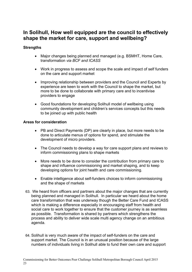## **In Solihull, How well equipped are the council to effectively shape the market for care, support and wellbeing?**

#### **Strengths**

- Major changes being planned and managed (e.g. BSMHT, Home Care, transformation *via BCF and ICASS*
- Work in progress to assess and scope the scale and impact of self funders on the care and support market
- Improving relationship between providers and the Council and Experts by experience are keen to work with the Council to shape the market, but more to be done to collaborate with primary care and to incentivise providers to engage
- Good foundations for developing Solihull model of wellbeing using community development and children's services concepts but this needs to be joined up with public health

#### **Areas for consideration**

- PB and Direct Payments (DP) are clearly in place, but more needs to be done to articulate menus of options for spend, and stimulate the development of micro providers.
- The Council needs to develop a way for care support plans and reviews to inform commissioning plans to shape markets
- More needs to be done to consider the contribution from primary care to shape and influence commissioning and market shaping, and to keep developing options for joint health and care commissioning.
- Enable intelligence about self-funders choices to inform commissioning and the shape of markets
- 63. We heard from officers and partners about the major changes that are currently being planned and managed in Solihull. In particular we heard about the home care transformation that was underway though the Better Care Fund and ICASS which is making a difference especially in encouraging staff from health and social care to work together to ensure that the customer journey is as seamless as possible. Transformation is shared by partners which strengthens the process and ability to deliver wide scale multi agency change on an ambitious agenda.
- 64. Solihull is very much aware of the impact of self-funders on the care and support market. The Council is in an unusual position because of the large numbers of individuals living in Solihull able to fund their own care and support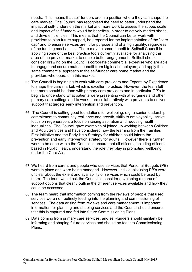needs. This means that self-funders are in a position where they can shape the care market. The Council has recognised the need to better understand the impact of self-funders on the market and more work to assess the scope, scale and impact of self funders would be beneficial in order to actively market shape, and drive efficiencies. This means that the Council can better work with providers to plan future support, be prepared for the implementation of the "care cap" and to ensure services are fit for purpose and of a high quality, regardless of the funding mechanism. There may be some benefit to Solihull Council in applying some of the best practice tools currently available for analysing this area of the provider market to enable better engagement. Solihull should consider drawing on the Council's corporate commercial expertise who are able to engage and secure mutual benefit from big local employers, and apply the same commercial approach to the self-funder care home market and the providers who operate in this market.

- 65. The Council is beginning to work with care providers and Experts by Experience to shape the care market, which is excellent practice. However, the team felt that more should be done with primary care providers and in particular GP's to begin to understand what patients were presenting with at surgeries and other primary care settings and to work more collaboratively with providers to deliver support that targets early intervention and prevention.
- 66. The Council is setting good foundations for wellbeing, e.g. a senior leadership commitment to community resilience and growth, skills to employability, active focus on regeneration, a focus on raising aspiration and reducing health inequalities. The Council gave examples of joined up working between Children and Adult Services and have considered how the learning from the Families First initiative and the Early Help Strategy for children could inform the prevention and early intervention strategy for adults. However there is further work to be done within the Council to ensure that all officers, including officers based in Public Health, understand the role they play in promoting wellbeing, under the Care Act.
- 67. We heard from carers and people who use services that Personal Budgets (PB) were in place and were being managed. However, individuals using PB's were unclear about the extent and availability of services which could be used by them. The team would ask the Council to consider developing a menu of support options that clearly outline the different services available and how they could be accessed.
- 68. The team heard that information coming from the reviews of people that used services were not routinely feeding into the planning and commissioning of services. The data arising from reviews and care management is important information for planning and shaping services and the Council should ensure that this is captured and fed into future Commissioning Plans.
- 69. Data coming from primary care services, and self-funders should similarly be informing and shaping future services and should be fed into Commissioning Plans.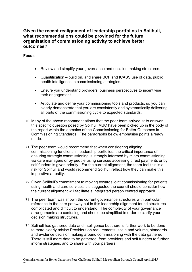## **Given the recent realignment of leadership portfolios in Solihull, what recommendations could be provided for the future organisation of commissioning activity to achieve better outcomes?**

#### **Focus**

- Review and simplify your governance and decision making structures.
- Quantification build on, and share BCF and ICASS use of data, public health intelligence in commissioning strategies.
- Ensure you understand providers' business perspectives to incentivise their engagement.
- Articulate and define your commissioning tools and products. so you can clearly demonstrate that you are consistently and systematically delivering all parts of the commissioning cycle to expected standards.
- 70. Many of the above recommendations that the peer team arrived at to answer this specific question posed by Solihull MBC have been picked up in the body of the report within the domains of the Commissioning for Better Outcomes in Commissioning Standards. The paragraphs below emphasise points already made.
- 71. The peer team would recommend that when considering aligning commissioning functions in leadership portfolios, the critical importance of ensuring strategic commissioning is strongly informed by micro commissioning, via care managers or by people using services accessing direct payments or by self funders is given priority. For the current alignment, the team feel this is a risk for Solihull and would recommend Solihull reflect how they can make this imperative a reality.
- 72. Given Solihull's commitment to moving towards joint commissioning for patients using health and care services it is suggested the council should consider how the current alignment will facilitate a integrated person centred approach
- 73. The peer team was shown the current governance structures with particular reference to the care pathway but in this leadership alignment found structures complicated and difficult to understand. The complexity of your governance arrangements are confusing and should be simplified in order to clarify your decision making structures.
- 74. Solihull has gathered data and intelligence but there is further work to be done to more clearly advise Providers on requirements, scale and volume, standards and evidence decision making around commissioning with the data gathered. There is still more data to be gathered, from providers and self funders to further inform strategies, and to share with your partners.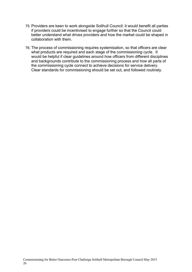- 75. Providers are keen to work alongside Solihull Council; it would benefit all parties if providers could be incentivised to engage further so that the Council could better understand what drives providers and how the market could be shaped in collaboration with them.
- 76. The process of commissioning requires systemisation, so that officers are clear what products are required and each stage of the commissioning cycle. It would be helpful if clear guidelines around how officers from different disciplines and backgrounds contribute to the commissioning process and how all parts of the commissioning cycle connect to achieve decisions for service delivery. Clear standards for commissioning should be set out, and followed routinely.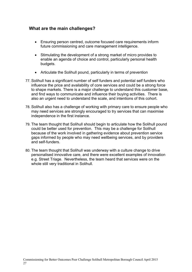## **What are the main challenges?**

- Ensuring person centred, outcome focused care requirements inform future commissioning and care management intelligence.
- Stimulating the development of a strong market of micro provides to enable an agenda of choice and control, particularly personal health budgets.
- Articulate the Solihull pound, particularly in terms of prevention
- 77. Solihull has a significant number of self funders and potential self funders who influence the price and availability of core services and could be a strong force to shape markets. There is a major challenge to understand this customer base, and find ways to communicate and influence their buying activities. There is also an urgent need to understand the scale, and intentions of this cohort.
- 78. Solihull also has a challenge of working with primary care to ensure people who may need services are strongly encouraged to try services that can maximise independence in the first instance.
- 79. The team thought that Solihull should begin to articulate how the Solihull pound could be better used for prevention. This may be a challenge for Solihull because of the work involved in gathering evidence about prevention service gaps informed by people who may need wellbeing services, and by providers and self-funders.
- 80. The team thought that Solihull was underway with a culture change to drive personalised innovative care, and there were excellent examples of innovation e.g. Street Triage. Nevertheless, the team heard that services were on the whole still very traditional in Solihull.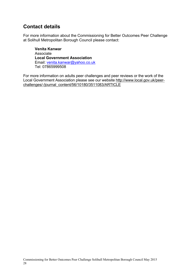## **Contact details**

For more information about the Commissioning for Better Outcomes Peer Challenge at Solihull Metropolitan Borough Council please contact:

**Venita Kanwar** Associate **Local Government Association** Email: [venita.kanwar@yahoo.co.uk](mailto:venita.kanwar@yahoo.co.uk) Tel: 07865999508

For more information on adults peer challenges and peer reviews or the work of the Local Government Association please see our website [http://www.local.gov.uk/peer](http://www.local.gov.uk/peer-challenges/-/journal_content/56/10180/3511083/ARTICLE)[challenges/-/journal\\_content/56/10180/3511083/ARTICLE](http://www.local.gov.uk/peer-challenges/-/journal_content/56/10180/3511083/ARTICLE)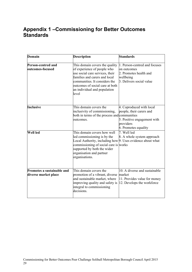## **Appendix 1 –Commissioning for Better Outcomes Standards**

| Domain                                             | <b>Description</b>                                                                                                                                                                                                                             | <b>Standards</b>                                                                                                         |
|----------------------------------------------------|------------------------------------------------------------------------------------------------------------------------------------------------------------------------------------------------------------------------------------------------|--------------------------------------------------------------------------------------------------------------------------|
| Person-centred and<br>outcomes-focused             | This domain covers the quality<br>of experience of people who<br>use social care services, their<br>families and carers and local<br>communities. It considers the<br>outcomes of social care at both<br>an individual and population<br>level | 1. Person-centred and focuses<br>on outcomes<br>2. Promotes health and<br>wellbeing<br>3. Delivers social value          |
| Inclusive                                          | This domain covers the<br>inclusivity of commissioning,<br>both in terms of the process and communities<br>outcomes.                                                                                                                           | 4. Coproduced with local<br>people, their carers and<br>5. Positive engagement with<br>providers<br>6. Promotes equality |
| Well led                                           | This domain covers how well<br>led commissioning is by the<br>Local Authority, including how 9. Uses evidence about what<br>commissioning of social care is works<br>supported by both the wider<br>organisation and partner<br>organisations. | 7. Well led<br>8. A whole system approach                                                                                |
| Promotes a sustainable and<br>diverse market place | This domain covers the<br>promotion of a vibrant, diverse<br>and sustainable market, where<br>improving quality and safety is<br>integral to commissioning<br>decisions.                                                                       | 10. A diverse and sustainable<br>market<br>11. Provides value for money<br>12. Develops the workforce                    |